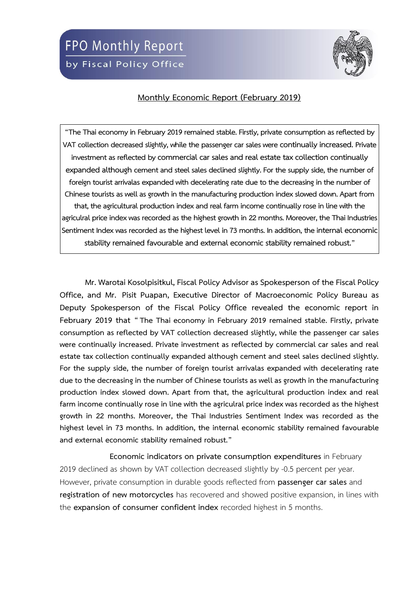

## **Monthly Economic Report (February 2019)**

**"The Thai economy in February 2019 remained stable. Firstly, private consumption as reflected by VAT collection decreased slightly, while the passenger car sales were continually increased.Private**  investment as reflected by commercial car sales and real estate tax collection continually **expanded although cement and steel sales declined slightly. For the supply side, the number of**  foreign tourist arrivalas expanded with decelerating rate due to the decreasing in the number of Chinese tourists as well as growth in the manufacturing production index slowed down. Apart from **that, theagricultural production index and real farm income continually rosein line with the agriculral price index was recorded as the highest growth in 22 months. Moreover, the Thai Industries Sentiment Index was recorded as the highest level in 73 months. In addition, the internal economic** stability remained favourable and external economic stability remained robust."

**Mr. Warotai Kosolpisitkul, Fiscal Policy Advisor as Spokesperson of the Fiscal Policy Office, and Mr. Pisit Puapan, Executive Director of Macroeconomic Policy Bureau as Deputy Spokesperson of the Fiscal Policy Office revealed the economic report in February 2019 that " The Thai economy in February 2019 remained stable. Firstly, private consumption as reflected by VAT collection decreased slightly, while the passenger car sales were continually increased. Private investment as reflected by commercial car sales and real estate tax collection continually expanded although cement and steel sales declined slightly. For the supply side, the number of foreign tourist arrivalas expanded with decelerating rate due to the decreasing in the number of Chinese tourists as well as growth in the manufacturing production index slowed down. Apart from that, the agricultural production index and real farm income continually rose in line with the agriculral price index was recorded as the highest growth in 22 months. Moreover, the Thai Industries Sentiment Index was recorded as the highest level in 73 months. In addition, the internal economic stability remained favourable and external economic stability remained robust."**

**Economic indicators on private consumption expenditures** in February 2019 declined as shown by VAT collection decreased slightly by -0.5 percent per year. However, private consumption in durable goods reflected from **passenger car sales** and **registration of new motorcycles** has recovered and showed positive expansion, in lines with the **expansion of consumer confident index** recorded highest in 5 months.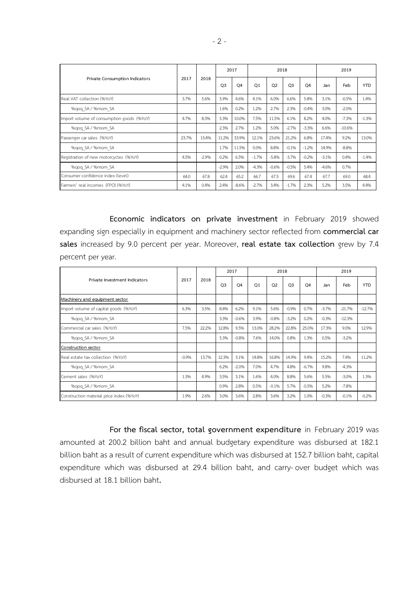| Private Consumption Indicators            | 2017  | 2018    | 2017           |         |                | 2018           |                | 2019           |         |          |            |
|-------------------------------------------|-------|---------|----------------|---------|----------------|----------------|----------------|----------------|---------|----------|------------|
|                                           |       |         | O <sub>3</sub> | Q4      | O <sub>1</sub> | O <sub>2</sub> | O <sub>3</sub> | O <sub>4</sub> | Jan     | Feb      | <b>YTD</b> |
| Real VAT collection (%YoY)                | 3.7%  | 5.6%    | 5.9%           | 4.6%    | 4.1%           | 6.0%           | 6.6%           | 5.8%           | 3.1%    | $-0.5%$  | 1.4%       |
| %gog SA / %mom SA                         |       |         | 1.6%           | 0.2%    | 1.2%           | 2.7%           | 2.3%           | $-0.4%$        | 3.0%    | $-2.0%$  |            |
| Import volume of consumption goods (%YoY) | 4.7%  | 8.3%    | 5.3%           | 10.0%   | 7.5%           | 11.5%          | 6.1%           | 8.2%           | 4.0%    | $-7.3%$  | $-1.3%$    |
| %gog SA / %mom SA                         |       |         | 2.3%           | 2.7%    | 1.2%           | 5.0%           | $-2.7%$        | $-3.3%$        | 6.6%    | $-10.6%$ |            |
| Passenger car sales (%YoY)                | 23.7% | 15.4%   | 11.2%          | 33.9%   | 12.1%          | 23.6%          | 21.2%          | 6.8%           | 17.4%   | 9.2%     | 13.0%      |
| %gog SA / %mom SA                         |       |         | 1.7%           | 11.5%   | 0.0%           | 8.8%           | $-0.1%$        | $-1.2%$        | 14.9%   | $-8.8%$  |            |
| Registration of new motorcycles (%YoY)    | 4.5%  | $-2.9%$ | 0.2%           | 6.5%    | $-1.7%$        | $-5.8%$        | $-3.7%$        | $-0.2%$        | $-3.1%$ | 0.4%     | $-1.4%$    |
| %qoq_SA / %mom_SA                         |       |         | $-2.9%$        | 2.0%    | $-4.3%$        | $-0.6%$        | $-0.5%$        | 5.4%           | $-4.6%$ | 0.7%     |            |
| Consumer confidence index (level)         | 64.0  | 67.8    | 62.4           | 65.2    | 66.7           | 67.5           | 69.6           | 67.4           | 67.7    | 69.0     | 68.4       |
| Farmers' real incomes (FPO) (%YoY)        | 4.1%  | 0.4%    | 2.4%           | $-8.6%$ | $-2.7%$        | 3.4%           | $-1.7%$        | 2.3%           | 5.2%    | 3.5%     | 4.4%       |

**Economic indicators on private investment** in February 2019 showed expanding sign especially in equipment and machinery sector reflected from **commercial car sales** increased by 9.0 percent per year. Moreover, **real estate tax collection** grew by 7.4 percent per year.

| Private Investment Indicators            |         |       | 2017           |                |                | 2018           |                | 2019           |         |          |            |
|------------------------------------------|---------|-------|----------------|----------------|----------------|----------------|----------------|----------------|---------|----------|------------|
|                                          | 2017    | 2018  | O <sub>3</sub> | O <sub>4</sub> | O <sub>1</sub> | O <sub>2</sub> | O <sub>3</sub> | O <sub>4</sub> | Jan     | Feb      | <b>YTD</b> |
| Machinery and equipment sector           |         |       |                |                |                |                |                |                |         |          |            |
| Import volume of capital goods (%YoY)    | 6.3%    | 3.5%  | 8.4%           | 6.2%           | 9.1%           | 5.6%           | $-0.9%$        | 0.7%           | $-3.7%$ | $-21.7%$ | $-12.7%$   |
| %gog SA / %mom SA                        |         |       | 3.3%           | $-0.6%$        | 3.9%           | $-0.8%$        | $-3.2%$        | 0.2%           | $-0.3%$ | $-12.3%$ |            |
| Commercial car sales (%YoY)              | 7.5%    | 22.2% | 12.8%          | 9.5%           | 13.0%          | 28.2%          | 22.8%          | 25.0%          | 17.3%   | 9.0%     | 12.9%      |
| %gog SA / %mom SA                        |         |       | 5.3%           | $-0.8%$        | 7.6%           | 14.0%          | 0.8%           | 1.3%           | 0.5%    | $-3.2%$  |            |
| Construction sector                      |         |       |                |                |                |                |                |                |         |          |            |
| Real estate tax collection (%YoY)        | $-0.9%$ | 13.7% | 12.3%          | 3.1%           | 14.8%          | 16.8%          | 14.9%          | 9.4%           | 15.2%   | 7.4%     | 11.2%      |
| %qoq_SA / %mom_SA                        |         |       | 6.2%           | $-2.0%$        | 7.0%           | 4.7%           | 4.8%           | $-6.7%$        | 9.8%    | $-4.3%$  |            |
| Cement sales (%YoY)                      | 1.3%    | 4.9%  | 3.5%           | 3.1%           | 1.6%           | 4.0%           | 8.8%           | 5.6%           | 5.5%    | $-3.0%$  | 1.3%       |
| %gog SA / %mom SA                        |         |       | 0.9%           | 2.8%           | 0.5%           | $-0.1%$        | 5.7%           | $-0.5%$        | 5.2%    | $-7.8%$  |            |
| Construction material price index (%YoY) | 1.9%    | 2.6%  | 3.0%           | 3.6%           | 2.8%           | 3.6%           | 3.2%           | 1.0%           | $-0.3%$ | $-0.1%$  | $-0.2%$    |

**For the fiscal sector, total government expenditure** in February 2019 was amounted at 200.2 billion baht and annual budgetary expenditure was disbursed at 182.1 billion baht as a result of current expenditure which was disbursed at 152.7 billion baht, capital expenditure which was disbursed at 29.4 billion baht, and carry-over budget which was disbursed at 18.1 billion baht**.**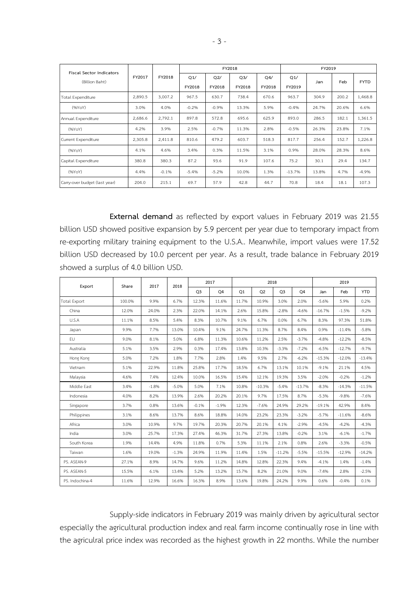| <b>Fiscal Sector Indicators</b> |         |         |               |               | FY2018                   |                          | FY2019        |       |       |             |  |  |
|---------------------------------|---------|---------|---------------|---------------|--------------------------|--------------------------|---------------|-------|-------|-------------|--|--|
| (Billion Baht)                  | FY2017  | FY2018  | Q1/<br>FY2018 | Q2/<br>FY2018 | Q <sub>3</sub><br>FY2018 | O <sub>4</sub><br>FY2018 | Q1/<br>FY2019 | Jan   | Feb   | <b>FYTD</b> |  |  |
| <b>Total Expenditure</b>        | 2,890.5 | 3,007.2 | 967.5         | 630.7         | 738.4                    | 670.6                    | 963.7         | 304.9 | 200.2 | 1,468.8     |  |  |
| (96YoY)                         | 3.0%    | 4.0%    | $-0.2%$       | $-0.9%$       | 13.3%                    | 5.9%                     | $-0.4%$       | 24.7% | 20.6% | 6.6%        |  |  |
| Annual Expenditure              | 2,686.6 | 2,792.1 | 897.8         | 572.8         | 695.6                    | 625.9                    | 893.0         | 286.5 | 182.1 | 1,361.5     |  |  |
| (96YoY)                         | 4.2%    | 3.9%    | 2.5%          | $-0.7%$       | 11.3%                    | 2.8%                     | $-0.5%$       | 26.3% | 23.8% | 7.1%        |  |  |
| Current Expenditure             | 2,305.8 | 2,411.8 | 810.6         | 479.2         | 603.7                    | 518.3                    | 817.7         | 256.4 | 152.7 | 1,226.8     |  |  |
| (96YoY)                         | 4.1%    | 4.6%    | 3.4%          | 0.3%          | 11.5%                    | 3.1%                     | 0.9%          | 28.0% | 28.3% | 8.6%        |  |  |
| Capital Expenditure             | 380.8   | 380.3   | 87.2          | 93.6          | 91.9                     | 107.6                    | 75.2          | 30.1  | 29.4  | 134.7       |  |  |
| (96YoY)                         | 4.4%    | $-0.1%$ | $-5.4%$       | $-5.2%$       | 10.0%                    | 1.3%                     | $-13.7%$      | 13.8% | 4.7%  | $-4.9%$     |  |  |
| Carry-over budget (last year)   | 204.0   | 215.1   | 69.7          | 57.9          | 42.8                     | 44.7                     | 70.8          | 18.4  | 18.1  | 107.3       |  |  |

**External demand** as reflected by export values in February 2019 was 21.55 billion USD showed positive expansion by 5.9 percent per year due to temporary impact from re-exporting military training equipment to the U.S.A.. Meanwhile, import values were 17.52 billion USD decreased by 10.0 percent per year. As a result, trade balance in February 2019 showed a surplus of 4.0 billion USD.

| Export          | Share  | 2017    | 2018    |                | 2017    |       | 2018     |                | 2019     |          |          |            |
|-----------------|--------|---------|---------|----------------|---------|-------|----------|----------------|----------|----------|----------|------------|
|                 |        |         |         | Q <sub>3</sub> | Q4      | Q1    | Q2       | Q <sub>3</sub> | Q4       | Jan      | Feb      | <b>YTD</b> |
| Total Export    | 100.0% | 9.9%    | 6.7%    | 12.3%          | 11.6%   | 11.7% | 10.9%    | 3.0%           | 2.0%     | $-5.6%$  | 5.9%     | 0.2%       |
| China           | 12.0%  | 24.0%   | 2.3%    | 22.0%          | 14.1%   | 2.6%  | 15.8%    | $-2.8%$        | $-4.6%$  | $-16.7%$ | $-1.5%$  | $-9.2%$    |
| U.S.A           | 11.1%  | 8.5%    | 5.4%    | 8.3%           | 10.7%   | 9.1%  | 6.7%     | 0.0%           | 6.7%     | 8.3%     | 97.3%    | 51.8%      |
| Japan           | 9.9%   | 7.7%    | 13.0%   | 10.4%          | 9.1%    | 24.7% | 11.3%    | 8.7%           | 8.4%     | 0.9%     | $-11.4%$ | $-5.8%$    |
| EU              | 9.0%   | 8.1%    | 5.0%    | 6.8%           | 11.3%   | 10.6% | 11.2%    | 2.5%           | $-3.7%$  | $-4.8%$  | $-12.2%$ | $-8.5%$    |
| Australia       | 5.1%   | 3.5%    | 2.9%    | 0.3%           | 17.4%   | 13.8% | 10.3%    | $-3.3%$        | $-7.2%$  | $-6.5%$  | $-12.7%$ | $-9.7%$    |
| Hong Kong       | 5.0%   | 7.2%    | 1.8%    | 7.7%           | 2.8%    | 1.4%  | 9.5%     | 2.7%           | $-6.2%$  | $-15.3%$ | $-12.0%$ | $-13.4%$   |
| Vietnam         | 5.1%   | 22.9%   | 11.8%   | 25.8%          | 17.7%   | 18.5% | 6.7%     | 13.1%          | 10.1%    | $-9.1%$  | 21.1%    | 4.5%       |
| Malaysia        | 4.6%   | 7.4%    | 12.4%   | 10.0%          | 16.5%   | 15.4% | 12.1%    | 19.3%          | 3.5%     | $-2.0%$  | $-0.2%$  | $-1.2%$    |
| Middle East     | 3.4%   | $-1.8%$ | $-5.0%$ | 5.0%           | 7.1%    | 10.8% | $-10.3%$ | $-5.4%$        | $-13.7%$ | $-8.3%$  | $-14.3%$ | $-11.5%$   |
| Indonesia       | 4.0%   | 8.2%    | 13.9%   | 2.6%           | 20.2%   | 20.1% | 9.7%     | 17.5%          | 8.7%     | $-5.3%$  | $-9.8%$  | $-7.6%$    |
| Singapore       | 3.7%   | 0.8%    | 13.6%   | $-0.1%$        | $-1.9%$ | 12.3% | $-7.6%$  | 24.9%          | 29.2%    | $-19.1%$ | 42.9%    | 8.4%       |
| Philippines     | 3.1%   | 8.6%    | 13.7%   | 8.6%           | 18.8%   | 14.0% | 23.2%    | 23.3%          | $-3.2%$  | $-5.7%$  | $-11.6%$ | $-8.6%$    |
| Africa          | 3.0%   | 10.9%   | 9.7%    | 19.7%          | 20.3%   | 20.7% | 20.1%    | 4.1%           | $-2.9%$  | $-4.5%$  | $-4.2%$  | $-4.3%$    |
| India           | 3.0%   | 25.7%   | 17.3%   | 27.4%          | 46.3%   | 31.7% | 27.3%    | 13.8%          | $-0.2%$  | 3.1%     | $-6.1%$  | $-1.7%$    |
| South Korea     | 1.9%   | 14.4%   | 4.9%    | 11.8%          | 0.7%    | 5.3%  | 11.1%    | 2.1%           | 0.8%     | 2.6%     | $-3.3%$  | $-0.5%$    |
| Taiwan          | 1.6%   | 19.0%   | $-1.3%$ | 24.9%          | 11.9%   | 11.4% | 1.5%     | $-11.2%$       | $-5.5%$  | $-15.5%$ | $-12.9%$ | $-14.2%$   |
| PS. ASEAN-9     | 27.1%  | 8.9%    | 14.7%   | 9.6%           | 11.2%   | 14.8% | 12.8%    | 22.3%          | 9.4%     | $-4.1%$  | 1.4%     | $-1.4%$    |
| PS. ASEAN-5     | 15.5%  | 6.1%    | 13.4%   | 5.2%           | 13.2%   | 15.7% | 8.2%     | 21.0%          | 9.0%     | $-7.4%$  | 2.8%     | $-2.5%$    |
| PS. Indochina-4 | 11.6%  | 12.9%   | 16.6%   | 16.3%          | 8.9%    | 13.6% | 19.8%    | 24.2%          | 9.9%     | 0.6%     | $-0.4%$  | 0.1%       |

Supply-side indicators in February 2019 was mainly driven by agricultural sector especially the agricultural production index and real farm income continually rose in line with the agriculral price index was recorded as the highest growth in 22 months. While the number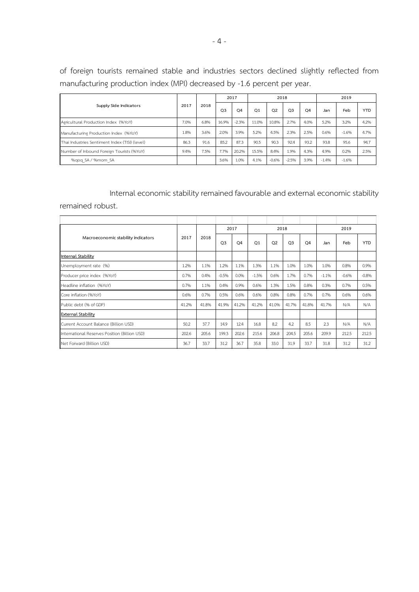of foreign tourists remained stable and industries sectors declined slightly reflected from manufacturing production index (MPI) decreased by -1.6 percent per year.

| Supply Side Indicators                         | 2017 | 2018 | 2017           |                |       | 2018           |                | 2019           |         |         |            |
|------------------------------------------------|------|------|----------------|----------------|-------|----------------|----------------|----------------|---------|---------|------------|
|                                                |      |      | Q <sub>3</sub> | Q <sub>4</sub> | Q1    | Q <sub>2</sub> | Q <sub>3</sub> | Q <sub>4</sub> | Jan     | Feb     | <b>YTD</b> |
| Agricultural Production Index (%YoY)           | 7.0% | 6.8% | 16.9%          | $-2.3%$        | 11.0% | 10.8%          | 2.7%           | 4.0%           | 5.2%    | 3.2%    | 4.2%       |
| Manufacturing Production Index (%YoY)          | 1.8% | 3.6% | 2.0%           | 3.9%           | 5.2%  | 4.5%           | 2.3%           | 2.5%           | 0.6%    | $-1.6%$ | 4.7%       |
| Thai Industries Sentiment Index (TISI) (level) | 86.3 | 91.6 | 85.2           | 87.3           | 90.5  | 90.3           | 92.4           | 93.2           | 93.8    | 95.6    | 94.7       |
| Number of Inbound Foreign Tourists (%YoY)      | 9.4% | 7.5% | 7.7%           | 20.2%          | 15.5% | 8.4%           | 1.9%           | 4.3%           | 4.9%    | 0.2%    | 2.5%       |
| %gog SA / %mom SA                              |      |      | 3.6%           | 1.0%           | 4.1%  | $-0.6%$        | $-2.5%$        | 3.9%           | $-1.4%$ | $-1.6%$ |            |

Internal economic stability remained favourable and external economic stability

remained robust.

|                                               |       | 2018  | 2017           |                |                | 2018           |                | 2019           |         |         |            |
|-----------------------------------------------|-------|-------|----------------|----------------|----------------|----------------|----------------|----------------|---------|---------|------------|
| Macroeconomic stability indicators            | 2017  |       | O <sub>3</sub> | O <sub>4</sub> | O <sub>1</sub> | O <sub>2</sub> | O <sub>3</sub> | O <sub>4</sub> | Jan     | Feb     | <b>YTD</b> |
| Internal Stability                            |       |       |                |                |                |                |                |                |         |         |            |
| Unemployment rate (%)                         | 1.2%  | 1.1%  | 1.2%           | 1.1%           | 1.3%           | 1.1%           | 1.0%           | 1.0%           | 1.0%    | 0.8%    | 0.9%       |
| Producer price index (%YoY)                   | 0.7%  | 0.4%  | $-0.5%$        | 0.0%           | $-1.5%$        | 0.6%           | 1.7%           | 0.7%           | $-1.1%$ | $-0.6%$ | $-0.8%$    |
| Headline inflation (%YoY)                     | 0.7%  | 1.1%  | 0.4%           | 0.9%           | 0.6%           | 1.3%           | 1.5%           | 0.8%           | 0.3%    | 0.7%    | 0.5%       |
| Core inflation (%YoY)                         | 0.6%  | 0.7%  | 0.5%           | 0.6%           | 0.6%           | 0.8%           | 0.8%           | 0.7%           | 0.7%    | 0.6%    | 0.6%       |
| Public debt (% of GDP)                        | 41.2% | 41.8% | 41.9%          | 41.2%          | 41.2%          | 41.0%          | 41.7%          | 41.8%          | 41.7%   | N/A     | N/A        |
| <b>External Stability</b>                     |       |       |                |                |                |                |                |                |         |         |            |
| Current Account Balance (Billion USD)         | 50.2  | 37.7  | 14.9           | 12.4           | 16.8           | 8.2            | 4.2            | 8.5            | 23      | N/A     | N/A        |
| International Reserves Position (Billion USD) | 202.6 | 205.6 | 199.3          | 202.6          | 215.6          | 206.8          | 204.5          | 205.6          | 209.9   | 212.5   | 212.5      |
| Net Forward (Billion USD)                     | 36.7  | 33.7  | 31.2           | 36.7           | 35.8           | 33.0           | 31.9           | 33.7           | 31.8    | 31.2    | 31.2       |